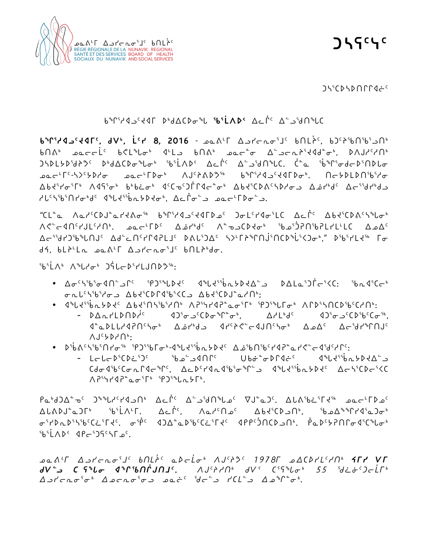

**ᑐᓴᕋᑦᓭᑦ**

ᑐᓴᕐᑕᐅᓴᐅᑎᒋᒋᐊᓖᑦ

## ᑲᖏᕐᓱᐊᓗᑦᔪᐊᒥ ᐅᒃᑯᐃᑕᐅᓂᖓ **ᖃᕐᒫᐱᐅᑉ** ᐃᓚᒌᑦ ᐃᓪᓗᖁᑎᖓᑕ

**ᑲᖏᕐᓱᐊᓗᑦᔪᐊᒥᑦ, ᑯᐯᒃ, ᒫᑦᓯ 8, 2016** - ᓄᓇᕕᒻᒥ ᐃᓗᓯᓕᕆᓂᕐᒧᑦ ᑲᑎᒪᔩᑦ, ᑲᑐᑦᔨᖃᑎᖃᕐᓗᑎᒃ ᑲᑎᕕᒃ ᓄᓇᓕᓕᒫᑦ ᑲᕙᒪᖓᓂᒃ ᐊᒻᒪᓗ ᑲᑎᕕᒃ ᓄᓇᓕᓐᓂ ᐃᓪᓗᓕᕆᔨᕐᔪᐊᑯᓐᓂᒃ, ᐅᐱᒍᓱᑦᓱᑎᒃ ᑐᓴᐅᒪᔭᐅᖁᔨᕗᑦ ᐅᒃᑯᐃᑕᐅᓂᖓᓂᒃ ᖃᕐᒫᐱᐅᑉ ᐃᓚᒌᑦ ᐃᓪᓗᖁᑎᖓᑕ. ᑖᓐᓇ ᖄᖏᕐᓂᑯᓕᐅᕐᑎᐅᒐᓂ ᓄᓇᓕᒻᒥᑦ-ᓴᐳᑦᔭᐅᓱᓂ ᓄᓇᓕᒻᒥᐅᓂᒃ ᐱᒍᑦᔨᕕᐅᕗᖅ ᑲᖏᕐᓱᐊᓗᑦᔪᐊᒥᐅᓂᒃ. ᑎᓕᔭᐅᒪᐅᑎᖃᕐᓱᓂ ᐃᑲᔪᕐᓯᓂᕐᒥᒃ ᐱᐊᕋᕐᓂᒃ ᑲᒃᑲᓛᓂᒃ ᐊᑦᑕᓀᑦᑐᒦᒋᐊᓕᓐᓂᒃ ᐃᑲᔪᕐᑕᐅᕕᑦᓴᐅᓱᓂᓗ ᐃᓅᓯᒃᑯᑦ ᐃᓕᕐᖁᓯᒃᑯᓗ ᓱᒐᑦᓴᖃᕐᑎᓯᓂᒃᑯᑦ ᐊᖓᔪᕐᖄᕆᔭᐅᔪᓂᒃ, ᐃᓚᒌᓂᓪᓗ ᓄᓇᓕᒻᒥᐅᓂᓪᓗ.

"ᑕᒪᓐᓇ ᐱᓇᓱᑦᑕᐅᒍᓐᓇᓯᔪᕕᓂᖅ ᑲᖏᕐᓱᐊᓗᑦᔪᐊᒥᐅᓄᑦ ᑐᓂᒪᑦᓯᐊᓂᕐᒪᑕ ᐃᓚᒌᑦ ᐃᑲᔪᕐᑕᐅᕕᑦᓴᖓᓂᒃ ᐱᕙᓪᓕᐊᑎᑦᓯᒍᒪᑦᓱᑎᒃ. ᓄᓇᓕᒻᒥᐅᑦ ᐃᓅᓯᒃᑯᑦ ᐱᓐᓀᓗᑕᐅᔪᓂᒃ ᖃᓄᕐᑑᕈᑎᖃᕈᒪᓯᒪᒻᒪᑕ ᐃᓄᐃᑦ ᐃᓕᕐᖁᓯᑐᖃᖓᑎᒍᑦ ᐃᑯᓪᓚᑎᑦᓯᒋᐊᕈᒪᒧᑦ ᐅᕕᒐᕐᑐᐃᑦ ᓴᐳᒻᒥᔨᖏᑎᒎᕐᑎᑕᐅᖔᕐᐸᑐᓂᒃ," ᐅᖃᕐᓯᒪᔪᖅ ᒥᓂ ᑯᔦ, ᑲᒪᔨᒻᒪᕆ ᓄᓇᕕᒻᒥ ᐃᓗᓯᓕᕆᓂᕐᒧᑦ ᑲᑎᒪᔨᒃᑯᓂ.

ᖃᕐᒫᐱᒃ ᐱᖓᓱᓂᒃ ᑐᕌᒐᓕᐅᕐᓯᒪᒍᑎᐅᕗᖅ:

- ∆σ<sup>c</sup> ᓂᕆᒐᑦᓴᖃᕐᓱᓂᓗ ᐃᑲᔪᕐᑕᐅᒋᐊᖃᕐᐸᑕᓗ ᐃᑲᔪᕐᑕᐅᒍᓐᓇᓱᑎᒃ;
- ଏିଂାଏଂବିଲା୨େଟି ଏକ ଏକ ଏକ ଏକ ଏକ ଏକ ବିଲାକ ଏକ ଏକ ବିଲାକ ଏକ ଏକ ଏକ ଏକ ଏକ ଏକ ଏକ ଏକ
	- − « ) ᐊᓐᓇᐅᒪᒐᓱᐊᕈᑎᑦᓴᓂᒃ ᐃᓅᓯᒃᑯᓗ ᐊᓯᑦᔨᕙᓪᓕᐊᒍᑎᑦᓴᓂᒃ ᐃᓄᐃᑦ ᐃᓕᖁᓯᖏᑎᒍᑦ ᐱᒍᑦᔭᐅᓱᑎᒃ;
- ᐅᖄᕕᑦᓴᖃᕐᑎᓯᓂᖅ ᕿᑐᕐᖃᒥᓂᒃ-ᐊᖓᔪᕐᖄᕆᔭᐅᔪᑦ ᐃᓅᖃᑎᖃᑦᓯᐊᕈᓐᓇᓯᕙᓪᓕᐊᖁᑦᓱᒋᑦ:
	- ᒪᓕᒐᓕᐅᕐᑕᐅᓛᕐᑐᑦ ᖃᓄᓪᓗᐊᑎᒋᑦ ᑌᑲᓃᓐᓂᐅᒋᐊᓖᑦ ᐊᖓᔪᕐᖄᕆᔭᐅᔪᐃᓪᓗ ᑕᑯᓂᐊᖃᑦᑕᓂᕆᒋᐊᓕᖏᑦ, ᐃᓚᐅᑦᓯᐊᕆᐊᖃᕐᓂᖏᓪᓗ ᐊᖓᔪᕐᖄᕆᔭᐅᔪᑦ ᐃᓕᓴᕐᑕᐅᓕᕐᐸᑕ ᐱᕈᕐᓭᓯᐊᕈᓐᓇᓂᕐᒥᒃ ᕿᑐᕐᖓᕆᔭᒥᒃ.

ᑭᓇᒃᑯᑐᐃᓐᓀᑦ ᑐᖕᖓᓱᑦᓯᐊᓗᑎᒃ ᐃᓚᒌᑦ ᐃᓪᓗᖁᑎᖓᓄᑦ ᐁᒍᓐᓇᑐᑦ. ᐃᒐᕕᖃᓛᕐᒥᔪᖅ ᓄᓇᓕᒻᒥᐅᓄᑦ ᐃᒐᕕᐅᒍᓐᓇᑐᒥᒃ ᖃᕐᒫᐱᒻᒥ. ᐃᓚᒌᑦ, ᐱᓇᓱᑦᑎᓄᑦ ᐃᑲᔪᕐᑕᐅᓗᑎᒃ, ᖃᓄᐃᖕᖏᓯᐊᕐᓇᑐᓂᒃ ᓂᕐᓯᐅᕆᐅᕐᓴᖃᑦᑕᓛᕐᒥᔪᑦ. ᓂᖀᑦ ᐊᑐᐃᓐᓇᐅᖃᑦᑕᓛᕐᒥᔪᑦ ᐊᑭᑭᑦᑑᑎᑕᐅᓗᑎᒃ. ᑮᓇᐅᑦᔭᕈᑎᒋᓂᐊᕐᑕᖓᓂᒃ SUN SQNU≒G.

*kN[7u wlyoEi3j5 vtmº5 Nsoµi4 WA5pK5 !(&\*u kwbsym5ht4 èuy Ñu fÑ9l bCzi xqctŒAtj5. WA5pht4 fÑ2 b3Czi4 %% d˜î5goµu4 wlyoEi3i4 wkoEi3il kNø5 do9l ybm9l wkq8i4.*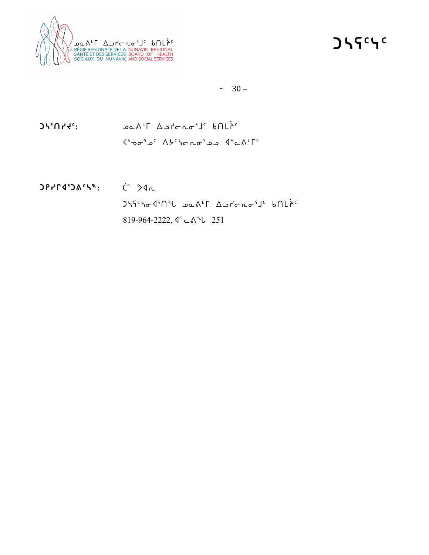

**ᑐᓴᕋᑦᓭᑦ**

## $-30-$

**ᑐᓴᕐᑎᓯᔪᑦ:** ᓄᓇᕕᒻᒥ ᐃᓗᓯᓕᕆᓂᕐᒧᑦ ᑲᑎᒪᔩᑦ ᐸᕐᓀᓂᕐᓄᑦ ᐱᔭᑦᓴᓕᕆᓂᕐᓄᓗ ᐊᓪᓚᕕᒻᒥᑦ

**ᑐᑭᓯᒋᐊᕐᑐᕕᑦᓴᖅ:** ᑖᓐ ᕗᐊᕆ ᑐᓴᕋᑦᓴᓂᐊᕐᑎᖓ ᓄᓇᕕᒻᒥ ᐃᓗᓯᓕᕆᓂᕐᒧᑦ ᑲᑎᒪᔩᑦ 819-964-2222, ᐊᓪᓚᕕᖓ 251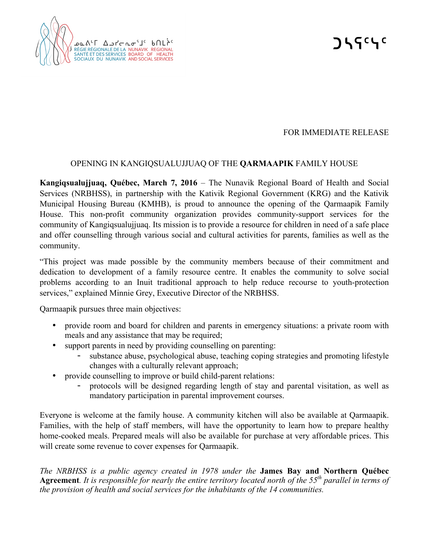

## FOR IMMEDIATE RELEASE

## OPENING IN KANGIQSUALUJJUAQ OF THE **QARMAAPIK** FAMILY HOUSE

**Kangiqsualujjuaq, Québec, March 7, 2016** – The Nunavik Regional Board of Health and Social Services (NRBHSS), in partnership with the Kativik Regional Government (KRG) and the Kativik Municipal Housing Bureau (KMHB), is proud to announce the opening of the Qarmaapik Family House. This non-profit community organization provides community-support services for the community of Kangiqsualujjuaq. Its mission is to provide a resource for children in need of a safe place and offer counselling through various social and cultural activities for parents, families as well as the community.

"This project was made possible by the community members because of their commitment and dedication to development of a family resource centre. It enables the community to solve social problems according to an Inuit traditional approach to help reduce recourse to youth-protection services," explained Minnie Grey, Executive Director of the NRBHSS.

Qarmaapik pursues three main objectives:

- provide room and board for children and parents in emergency situations: a private room with meals and any assistance that may be required;
- support parents in need by providing counselling on parenting:
	- substance abuse, psychological abuse, teaching coping strategies and promoting lifestyle changes with a culturally relevant approach;
- provide counselling to improve or build child-parent relations:
	- protocols will be designed regarding length of stay and parental visitation, as well as mandatory participation in parental improvement courses.

Everyone is welcome at the family house. A community kitchen will also be available at Qarmaapik. Families, with the help of staff members, will have the opportunity to learn how to prepare healthy home-cooked meals. Prepared meals will also be available for purchase at very affordable prices. This will create some revenue to cover expenses for Qarmaapik.

*The NRBHSS is a public agency created in 1978 under the* **James Bay and Northern Québec Agreement***. It is responsible for nearly the entire territory located north of the 55th parallel in terms of the provision of health and social services for the inhabitants of the 14 communities.*